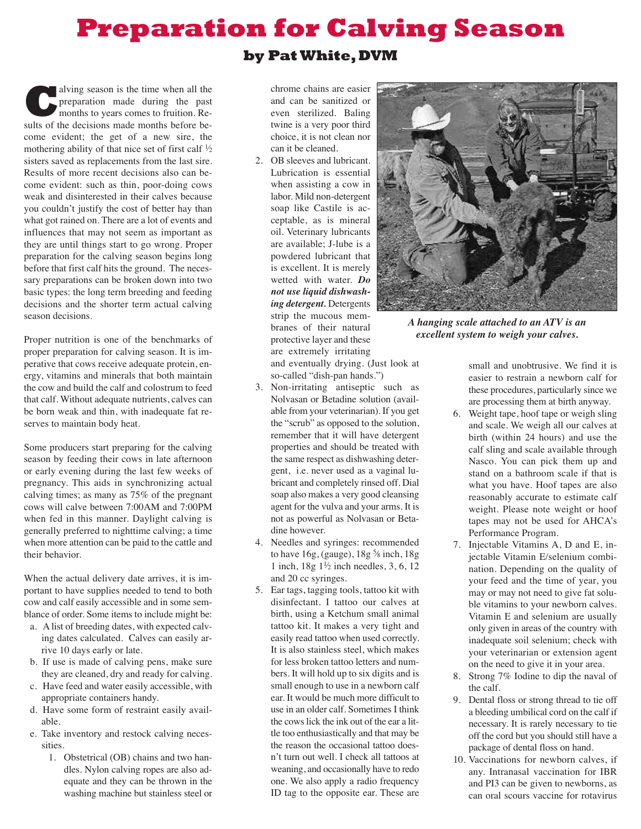## **Preparation for Calving Season**

## **by PatWhite,DVM**

**C**alving season is the time when all the preparation made during the past months to years comes to fruition. Results of the decisions made months before become evident; the get of a new sire, the mothering ability of that nice set of first calf  $\frac{1}{2}$ sisters saved as replacements from the last sire. Results of more recent decisions also can become evident: such as thin, poor-doing cows weak and disinterested in their calves because you couldn't justify the cost of better hay than what got rained on. There are a lot of events and influences that may not seem as important as they are until things start to go wrong. Proper preparation for the calving season begins long before that first calf hits the ground. The necessary preparations can be broken down into two basic types: the long term breeding and feeding decisions and the shorter term actual calving season decisions.

Proper nutrition is one of the benchmarks of proper preparation for calving season. It is imperative that cows receive adequate protein, energy, vitamins and minerals that both maintain the cow and build the calf and colostrum to feed that calf. Without adequate nutrients, calves can be born weak and thin, with inadequate fat reserves to maintain body heat.

Some producers start preparing for the calving season by feeding their cows in late afternoon or early evening during the last few weeks of pregnancy. This aids in synchronizing actual calving times; as many as 75% of the pregnant cows will calve between 7:00AM and 7:00PM when fed in this manner. Daylight calving is generally preferred to nighttime calving; a time when more attention can be paid to the cattle and their behavior.

When the actual delivery date arrives, it is important to have supplies needed to tend to both cow and calf easily accessible and in some semblance of order. Some items to include might be:

- a. A list of breeding dates, with expected calving dates calculated. Calves can easily arrive 10 days early or late.
- b. If use is made of calving pens, make sure they are cleaned, dry and ready for calving.
- c. Have feed and water easily accessible, with appropriate containers handy.
- d. Have some form of restraint easily available.
- e. Take inventory and restock calving necessities.
	- 1. Obstetrical (OB) chains and two handles. Nylon calving ropes are also adequate and they can be thrown in the washing machine but stainless steel or

chrome chains are easier and can be sanitized or even sterilized. Baling twine is a very poor third choice, it is not clean nor can it be cleaned.

2. OB sleeves and lubricant. Lubrication is essential when assisting a cow in labor. Mild non-detergent soap like Castile is acceptable, as is mineral oil. Veterinary lubricants are available; J-lube is a powdered lubricant that is excellent. It is merely wetted with water. *Do not use liquid dishwashing detergent.* Detergents strip the mucous membranes of their natural protective layer and these are extremely irritating



*A hanging scale attached to an ATV is an excellent system to weigh your calves.*

and eventually drying. (Just look at so-called "dish-pan hands.")

- 3. Non-irritating antiseptic such as Nolvasan or Betadine solution (available from your veterinarian). If you get the "scrub" as opposed to the solution, remember that it will have detergent properties and should be treated with the same respect as dishwashing detergent, i.e. never used as a vaginal lubricant and completely rinsed off. Dial soap also makes a very good cleansing agent for the vulva and your arms. It is not as powerful as Nolvasan or Betadine however.
- 4. Needles and syringes: recommended to have  $16g$ , (gauge),  $18g<sup>5</sup>/8$  inch,  $18g$ 1 inch,  $18g \frac{1}{2}$  inch needles, 3, 6, 12 and 20 cc syringes.
- 5. Ear tags, tagging tools, tattoo kit with disinfectant. I tattoo our calves at birth, using a Ketchum small animal tattoo kit. It makes a very tight and easily read tattoo when used correctly. It is also stainless steel, which makes for less broken tattoo letters and numbers. It will hold up to six digits and is small enough to use in a newborn calf ear. It would be much more difficult to use in an older calf. Sometimes I think the cows lick the ink out of the ear a little too enthusiastically and that may be the reason the occasional tattoo doesn't turn out well. I check all tattoos at weaning, and occasionally have to redo one. We also apply a radio frequency ID tag to the opposite ear. These are

small and unobtrusive. We find it is easier to restrain a newborn calf for these procedures, particularly since we are processing them at birth anyway.

- 6. Weight tape, hoof tape or weigh sling and scale. We weigh all our calves at birth (within 24 hours) and use the calf sling and scale available through Nasco. You can pick them up and stand on a bathroom scale if that is what you have. Hoof tapes are also reasonably accurate to estimate calf weight. Please note weight or hoof tapes may not be used for AHCA's Performance Program.
- 7. Injectable Vitamins A, D and E, injectable Vitamin E/selenium combination. Depending on the quality of your feed and the time of year, you may or may not need to give fat soluble vitamins to your newborn calves. Vitamin E and selenium are usually only given in areas of the country with inadequate soil selenium; check with your veterinarian or extension agent on the need to give it in your area.
- 8. Strong 7% Iodine to dip the naval of the calf.
- 9. Dental floss or strong thread to tie off a bleeding umbilical cord on the calf if necessary. It is rarely necessary to tie off the cord but you should still have a package of dental floss on hand.
- 10. Vaccinations for newborn calves, if any. Intranasal vaccination for IBR and PI3 can be given to newborns, as can oral scours vaccine for rotavirus